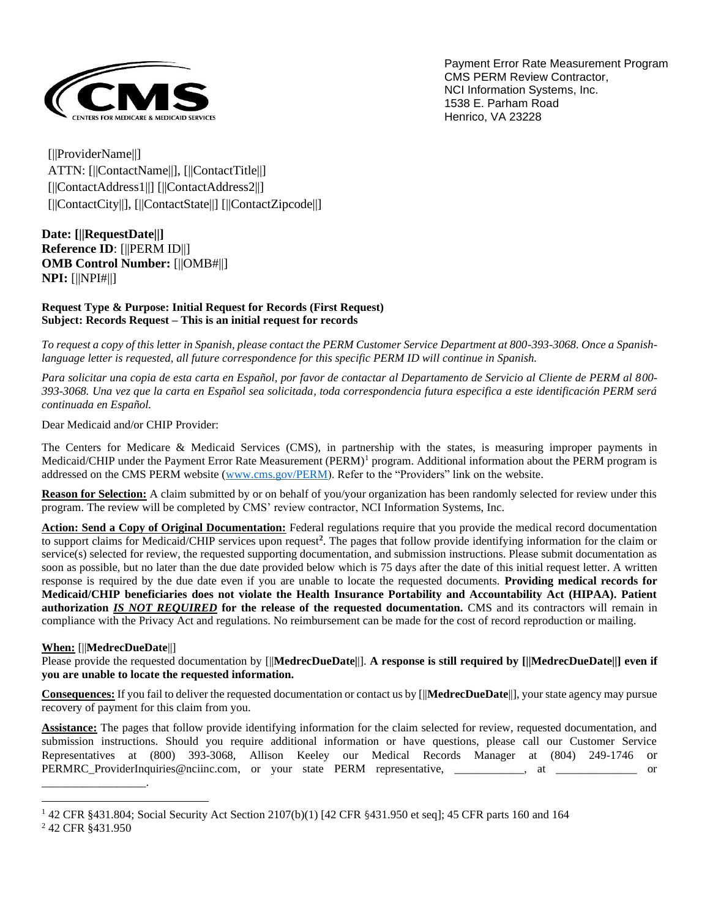

Payment Error Rate Measurement Program CMS PERM Review Contractor, NCI Information Systems, Inc. 1538 E. Parham Road Henrico, VA 23228

[||ProviderName||] ATTN: [||ContactName||], [||ContactTitle||] [||ContactAddress1||] [||ContactAddress2||] [||ContactCity||], [||ContactState||] [||ContactZipcode||]

**Date: [||RequestDate||] Reference ID**: [||PERM ID||] **OMB Control Number:** [||OMB#||] **NPI:** [||NPI#||]

#### **Request Type & Purpose: Initial Request for Records (First Request) Subject: Records Request – This is an initial request for records**

*To request a copy of this letter in Spanish, please contact the PERM Customer Service Department at 800-393-3068. Once a Spanishlanguage letter is requested, all future correspondence for this specific PERM ID will continue in Spanish.*

*Para solicitar una copia de esta carta en Español, por favor de contactar al Departamento de Servicio al Cliente de PERM al 800- 393-3068. Una vez que la carta en Español sea solicitada, toda correspondencia futura especifica a este identificación PERM será continuada en Español.*

Dear Medicaid and/or CHIP Provider:

The Centers for Medicare & Medicaid Services (CMS), in partnership with the states, is measuring improper payments in Medicaid/CHIP under the Payment Error Rate Measurement (PERM)<sup>1</sup> program. Additional information about the PERM program is addressed on the CMS PERM website [\(www.cms.gov/PERM\)](http://www.cms.gov/PERM). Refer to the "Providers" link on the website.

**Reason for Selection:** A claim submitted by or on behalf of you/your organization has been randomly selected for review under this program. The review will be completed by CMS' review contractor, NCI Information Systems, Inc.

**Action: Send a Copy of Original Documentation:** Federal regulations require that you provide the medical record documentation to support claims for Medicaid/CHIP services upon request**<sup>2</sup>** . The pages that follow provide identifying information for the claim or service(s) selected for review, the requested supporting documentation, and submission instructions. Please submit documentation as soon as possible, but no later than the due date provided below which is 75 days after the date of this initial request letter. A written response is required by the due date even if you are unable to locate the requested documents. **Providing medical records for Medicaid/CHIP beneficiaries does not violate the Health Insurance Portability and Accountability Act (HIPAA). Patient authorization** *IS NOT REQUIRED* **for the release of the requested documentation.** CMS and its contractors will remain in compliance with the Privacy Act and regulations. No reimbursement can be made for the cost of record reproduction or mailing.

#### **When:** [||**MedrecDueDate**||]

Please provide the requested documentation by [||**MedrecDueDate|**|]. **A response is still required by [||MedrecDueDate||] even if you are unable to locate the requested information.**

**Consequences:** If you fail to deliver the requested documentation or contact us by [||**MedrecDueDate**||], your state agency may pursue recovery of payment for this claim from you.

**Assistance:** The pages that follow provide identifying information for the claim selected for review, requested documentation, and submission instructions. Should you require additional information or have questions, please call our Customer Service Representatives at (800) 393-3068, Allison Keeley our Medical Records Manager at (804) 249-1746 or PERMRC\_ProviderInquiries@nciinc.com, or your state PERM representative, \_\_\_\_\_\_\_\_\_\_, at \_\_\_\_\_\_\_\_\_\_\_\_\_ or

\_\_\_\_\_\_\_\_\_\_\_\_\_\_\_\_\_\_.

<sup>1</sup> 42 CFR §431.804; Social Security Act Section 2107(b)(1) [42 CFR §431.950 et seq]; 45 CFR parts 160 and 164

<sup>2</sup> 42 CFR §431.950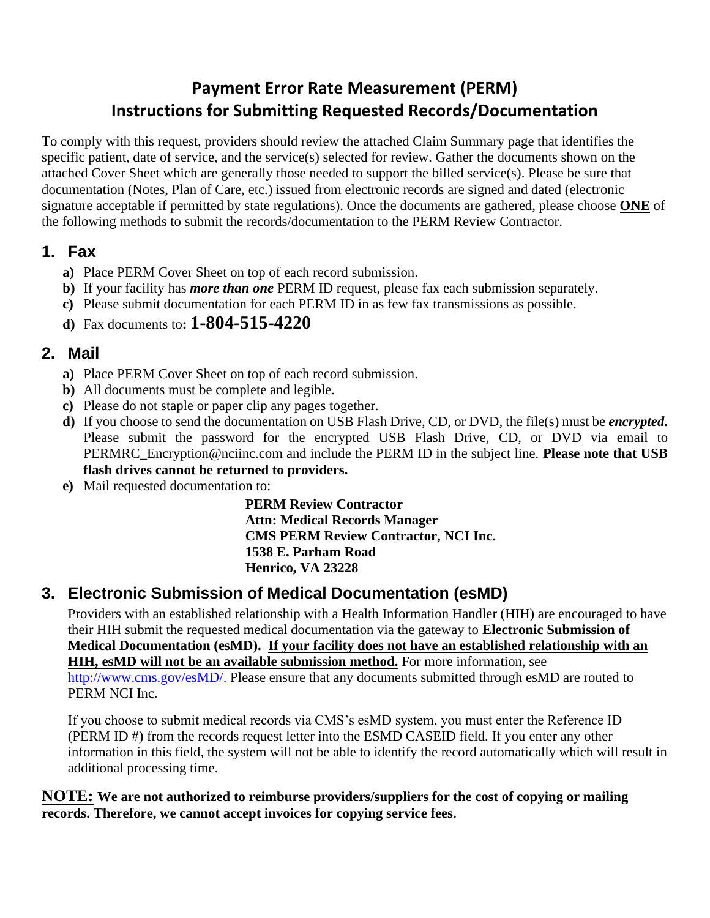# **Payment Error Rate Measurement (PERM) Instructions for Submitting Requested Records/Documentation**

To comply with this request, providers should review the attached Claim Summary page that identifies the specific patient, date of service, and the service(s) selected for review. Gather the documents shown on the attached Cover Sheet which are generally those needed to support the billed service(s). Please be sure that documentation (Notes, Plan of Care, etc.) issued from electronic records are signed and dated (electronic signature acceptable if permitted by state regulations). Once the documents are gathered, please choose **ONE** of the following methods to submit the records/documentation to the PERM Review Contractor.

### **1. Fax**

- **a)** Place PERM Cover Sheet on top of each record submission.
- **b)** If your facility has *more than one* PERM ID request, please fax each submission separately.
- **c)** Please submit documentation for each PERM ID in as few fax transmissions as possible.
- **d)** Fax documents to**: 1-804-515-4220**

## **2. Mail**

- **a)** Place PERM Cover Sheet on top of each record submission.
- **b)** All documents must be complete and legible.
- **c)** Please do not staple or paper clip any pages together.
- **d)** If you choose to send the documentation on USB Flash Drive, CD, or DVD, the file(s) must be *encrypted***.** Please submit the password for the encrypted USB Flash Drive, CD, or DVD via email to PERMRC\_Encryption@nciinc.com and include the PERM ID in the subject line. **Please note that USB flash drives cannot be returned to providers.**
- **e)** Mail requested documentation to:

**PERM Review Contractor Attn: Medical Records Manager CMS PERM Review Contractor, NCI Inc. 1538 E. Parham Road Henrico, VA 23228**

## **3. Electronic Submission of Medical Documentation (esMD)**

Providers with an established relationship with a Health Information Handler (HIH) are encouraged to have their HIH submit the requested medical documentation via the gateway to **Electronic Submission of Medical Documentation (esMD). If your facility does not have an established relationship with an HIH, esMD will not be an available submission method.** For more information, see [http://www.cms.gov/esMD/.](http://www.cms.gov/esMD/) Please ensure that any documents submitted through esMD are routed to PERM NCI Inc.

If you choose to submit medical records via CMS's esMD system, you must enter the Reference ID (PERM ID #) from the records request letter into the ESMD CASEID field. If you enter any other information in this field, the system will not be able to identify the record automatically which will result in additional processing time.

**NOTE: We are not authorized to reimburse providers/suppliers for the cost of copying or mailing records. Therefore, we cannot accept invoices for copying service fees.**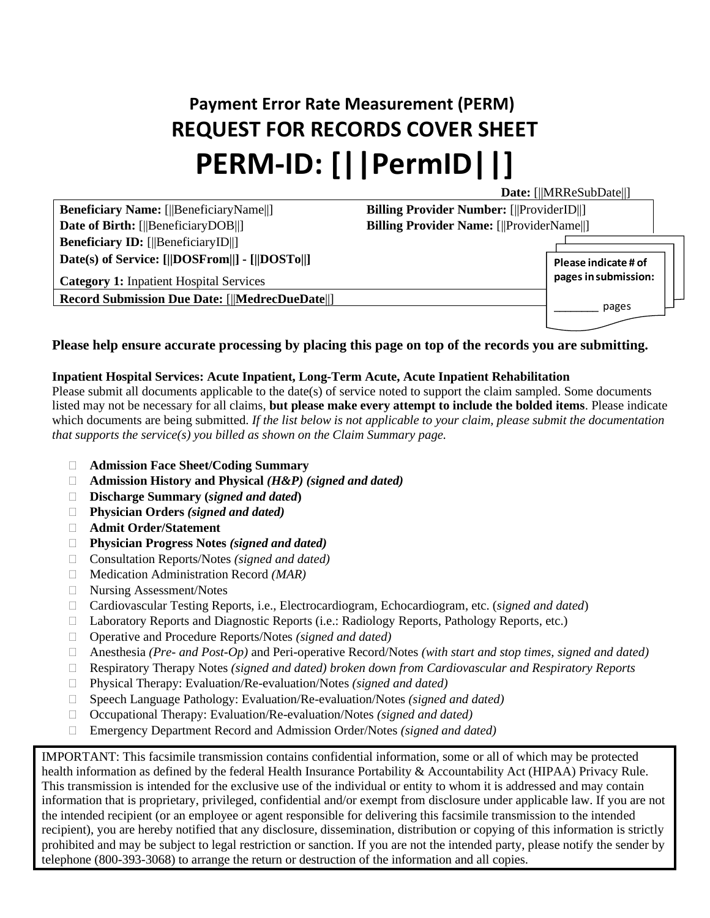# **Payment Error Rate Measurement (PERM) REQUEST FOR RECORDS COVER SHEET PERM-ID: [||PermID||]**

**Date:** [||MRReSubDate||] **Beneficiary Name:** [||BeneficiaryName||] **Billing Provider Number:** [||ProviderID||] **Date of Birth:** [||BeneficiaryDOB||] **Billing Provider Name:** [||ProviderName||] **Beneficiary ID:** [||BeneficiaryID||] **Date(s) of Service: [||DOSFrom||] - [||DOSTo||] Category 1:** Inpatient Hospital Services **Record Submission Due Date:** [||**MedrecDueDate**||] **Please indicate # of pages in submission:** \_\_\_\_\_\_\_\_ pages

**Please help ensure accurate processing by placing this page on top of the records you are submitting.**

#### **Inpatient Hospital Services: Acute Inpatient, Long-Term Acute, Acute Inpatient Rehabilitation**

Please submit all documents applicable to the date(s) of service noted to support the claim sampled. Some documents listed may not be necessary for all claims, **but please make every attempt to include the bolded items**. Please indicate which documents are being submitted. *If the list below is not applicable to your claim, please submit the documentation that supports the service(s) you billed as shown on the Claim Summary page.*

- **Admission Face Sheet/Coding Summary**
- **Admission History and Physical** *(H&P) (signed and dated)*
- **Discharge Summary (***signed and dated***)**
- **Physician Orders** *(signed and dated)*
- **Admit Order/Statement**
- **Physician Progress Notes** *(signed and dated)*
- Consultation Reports/Notes *(signed and dated)*
- □ Medication Administration Record *(MAR)*
- □ Nursing Assessment/Notes
- Cardiovascular Testing Reports, i.e., Electrocardiogram, Echocardiogram, etc. (*signed and dated*)
- Laboratory Reports and Diagnostic Reports (i.e.: Radiology Reports, Pathology Reports, etc.)
- Operative and Procedure Reports/Notes *(signed and dated)*
- Anesthesia *(Pre- and Post-Op)* and Peri-operative Record/Notes *(with start and stop times, signed and dated)*
- Respiratory Therapy Notes *(signed and dated) broken down from Cardiovascular and Respiratory Reports*
- Physical Therapy: Evaluation/Re-evaluation/Notes *(signed and dated)*
- Speech Language Pathology: Evaluation/Re-evaluation/Notes *(signed and dated)*
- □ Occupational Therapy: Evaluation/Re-evaluation/Notes *(signed and dated)*
- Emergency Department Record and Admission Order/Notes *(signed and dated)*

IMPORTANT: This facsimile transmission contains confidential information, some or all of which may be protected health information as defined by the federal Health Insurance Portability & Accountability Act (HIPAA) Privacy Rule. This transmission is intended for the exclusive use of the individual or entity to whom it is addressed and may contain information that is proprietary, privileged, confidential and/or exempt from disclosure under applicable law. If you are not the intended recipient (or an employee or agent responsible for delivering this facsimile transmission to the intended recipient), you are hereby notified that any disclosure, dissemination, distribution or copying of this information is strictly prohibited and may be subject to legal restriction or sanction. If you are not the intended party, please notify the sender by telephone (800-393-3068) to arrange the return or destruction of the information and all copies.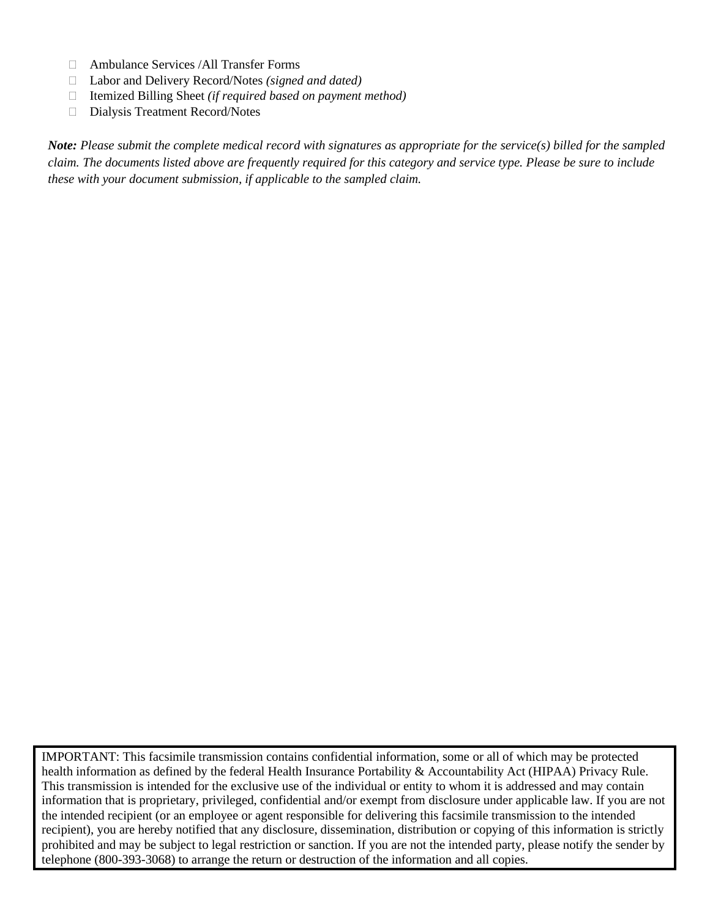- Ambulance Services /All Transfer Forms
- Labor and Delivery Record/Notes *(signed and dated)*
- Itemized Billing Sheet *(if required based on payment method)*
- Dialysis Treatment Record/Notes

*Note: Please submit the complete medical record with signatures as appropriate for the service(s) billed for the sampled claim. The documents listed above are frequently required for this category and service type. Please be sure to include these with your document submission, if applicable to the sampled claim.*

IMPORTANT: This facsimile transmission contains confidential information, some or all of which may be protected health information as defined by the federal Health Insurance Portability & Accountability Act (HIPAA) Privacy Rule. This transmission is intended for the exclusive use of the individual or entity to whom it is addressed and may contain information that is proprietary, privileged, confidential and/or exempt from disclosure under applicable law. If you are not the intended recipient (or an employee or agent responsible for delivering this facsimile transmission to the intended recipient), you are hereby notified that any disclosure, dissemination, distribution or copying of this information is strictly prohibited and may be subject to legal restriction or sanction. If you are not the intended party, please notify the sender by telephone (800-393-3068) to arrange the return or destruction of the information and all copies.